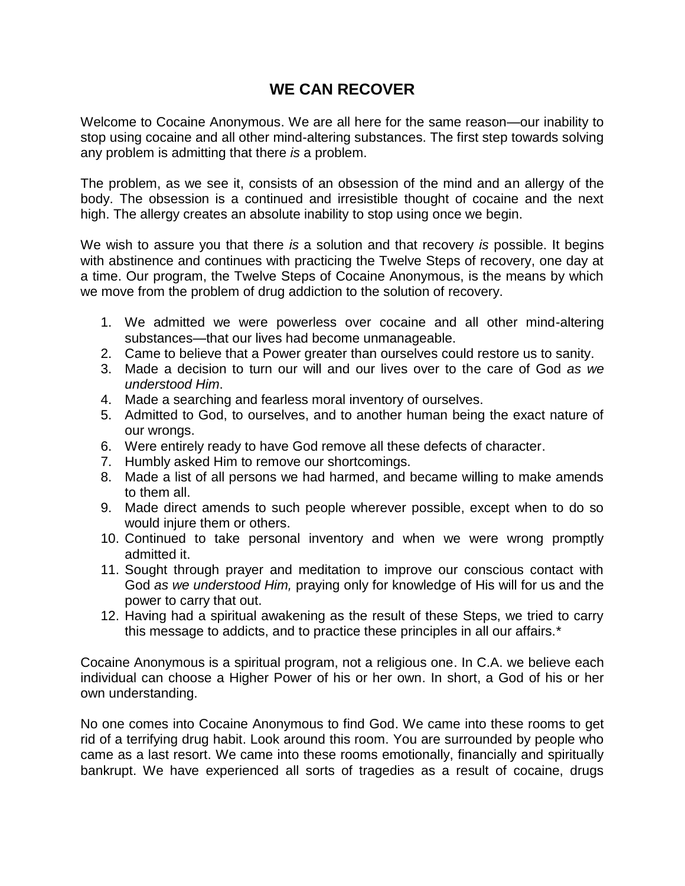## **WE CAN RECOVER**

Welcome to Cocaine Anonymous. We are all here for the same reason—our inability to stop using cocaine and all other mind-altering substances. The first step towards solving any problem is admitting that there *is* a problem.

The problem, as we see it, consists of an obsession of the mind and an allergy of the body. The obsession is a continued and irresistible thought of cocaine and the next high. The allergy creates an absolute inability to stop using once we begin.

We wish to assure you that there *is* a solution and that recovery *is* possible. It begins with abstinence and continues with practicing the Twelve Steps of recovery, one day at a time. Our program, the Twelve Steps of Cocaine Anonymous, is the means by which we move from the problem of drug addiction to the solution of recovery.

- 1. We admitted we were powerless over cocaine and all other mind-altering substances—that our lives had become unmanageable.
- 2. Came to believe that a Power greater than ourselves could restore us to sanity.
- 3. Made a decision to turn our will and our lives over to the care of God *as we understood Him*.
- 4. Made a searching and fearless moral inventory of ourselves.
- 5. Admitted to God, to ourselves, and to another human being the exact nature of our wrongs.
- 6. Were entirely ready to have God remove all these defects of character.
- 7. Humbly asked Him to remove our shortcomings.
- 8. Made a list of all persons we had harmed, and became willing to make amends to them all.
- 9. Made direct amends to such people wherever possible, except when to do so would injure them or others.
- 10. Continued to take personal inventory and when we were wrong promptly admitted it.
- 11. Sought through prayer and meditation to improve our conscious contact with God *as we understood Him,* praying only for knowledge of His will for us and the power to carry that out.
- 12. Having had a spiritual awakening as the result of these Steps, we tried to carry this message to addicts, and to practice these principles in all our affairs.\*

Cocaine Anonymous is a spiritual program, not a religious one. In C.A. we believe each individual can choose a Higher Power of his or her own. In short, a God of his or her own understanding.

No one comes into Cocaine Anonymous to find God. We came into these rooms to get rid of a terrifying drug habit. Look around this room. You are surrounded by people who came as a last resort. We came into these rooms emotionally, financially and spiritually bankrupt. We have experienced all sorts of tragedies as a result of cocaine, drugs